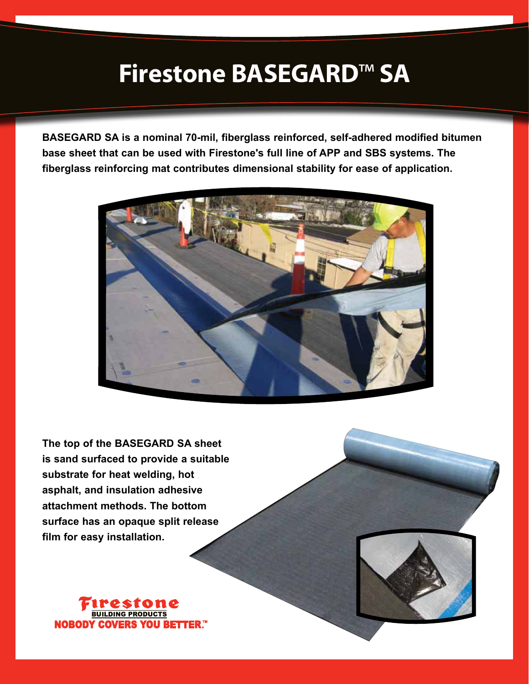## **Firestone BASEGARD**™ **SA**

**BASEGARD SA is a nominal 70-mil, fiberglass reinforced, self-adhered modified bitumen base sheet that can be used with Firestone's full line of APP and SBS systems. The fiberglass reinforcing mat contributes dimensional stability for ease of application.** 



**The top of the BASEGARD SA sheet is sand surfaced to provide a suitable substrate for heat welding, hot asphalt, and insulation adhesive attachment methods. The bottom surface has an opaque split release film for easy installation.**



**NOBODY** BETTER ™